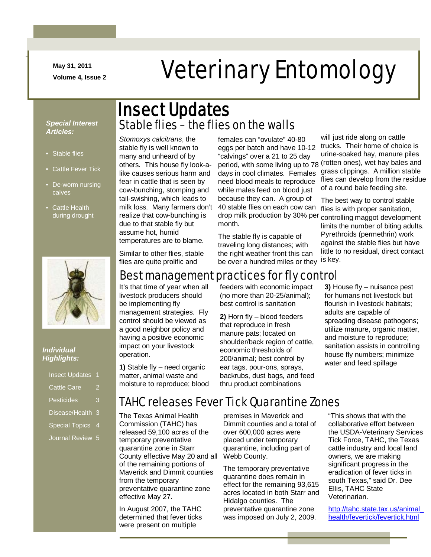**May 31, 2011**

-

# May 31, 2011<br>Volume 4, Issue 2<br> **Veterinary Entomology**

#### *Special Interest Articles:*

- Stable flies
- Cattle Fever Tick
- De-worm nursing calves
- Cattle Health during drought



#### *Individual Highlights:*

| <b>Insect Updates</b> |   |
|-----------------------|---|
| <b>Cattle Care</b>    |   |
| Pesticides            | 3 |
| Disease/Health        | З |
| <b>Special Topics</b> | 4 |
| <b>Journal Review</b> | 5 |

## Stable flies – the flies on the walls Insect Updates

*Stomoxys calcitrans*, the stable fly is well known to many and unheard of by others. This house fly look-alike causes serious harm and fear in cattle that is seen by cow-bunching, stomping and tail-swishing, which leads to milk loss. Many farmers don't realize that cow-bunching is due to that stable fly but assume hot, humid temperatures are to blame.

females can "ovulate" 40-80 eggs per batch and have 10-12 "calvings" over a 21 to 25 day period, with some living up to 78 days in cool climates. Females need blood meals to reproduce while males feed on blood just because they can. A group of 40 stable flies on each cow can drop milk production by 30% per month.

The stable fly is capable of traveling long distances; with the right weather front this can be over a hundred miles or they

will just ride along on cattle trucks. Their home of choice is urine-soaked hay, manure piles (rotten ones), wet hay bales and grass clippings. A million stable flies can develop from the residue of a round bale feeding site.

The best way to control stable flies is with proper sanitation, controlling maggot development limits the number of biting adults. Pyrethroids (permethrin) work against the stable flies but have little to no residual, direct contact is key.

Similar to other flies, stable flies are quite prolific and

#### Best management practices for fly control

It's that time of year when all livestock producers should be implementing fly management strategies. Fly control should be viewed as a good neighbor policy and having a positive economic impact on your livestock operation.

**1)** Stable fly – need organic matter, animal waste and moisture to reproduce; blood feeders with economic impact (no more than 20-25/animal); best control is sanitation

**2)** Horn fly – blood feeders that reproduce in fresh manure pats; located on shoulder/back region of cattle. economic thresholds of 200/animal; best control by ear tags, pour-ons, sprays, backrubs, dust bags, and feed thru product combinations

**3)** House fly – nuisance pest for humans not livestock but flourish in livestock habitats; adults are capable of spreading disease pathogens; utilize manure, organic matter, and moisture to reproduce; sanitation assists in controlling house fly numbers; minimize water and feed spillage

## TAHC releases Fever Tick Quarantine Zones

The Texas Animal Health Commission (TAHC) has released 59,100 acres of the temporary preventative quarantine zone in Starr County effective May 20 and all of the remaining portions of Maverick and Dimmit counties from the temporary preventative quarantine zone effective May 27.

In August 2007, the TAHC determined that fever ticks were present on multiple

premises in Maverick and Dimmit counties and a total of over 600,000 acres were placed under temporary quarantine, including part of Webb County.

The temporary preventative quarantine does remain in effect for the remaining 93,615 acres located in both Starr and Hidalgo counties. The preventative quarantine zone was imposed on July 2, 2009.

"This shows that with the collaborative effort between the USDA-Veterinary Services Tick Force, TAHC, the Texas cattle industry and local land owners, we are making significant progress in the eradication of fever ticks in south Texas," said Dr. Dee Ellis, TAHC State Veterinarian.

[http://tahc.state.tax.us/animal\\_](http://tahc.state.tax.us/animal_health/fevertick/fevertick.html) [health/fevertick/fevertick.html](http://tahc.state.tax.us/animal_health/fevertick/fevertick.html)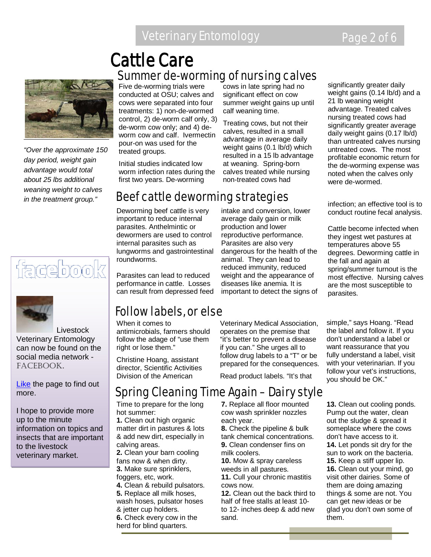## Veterinary Entomology **Page 2 of 6**

## Summer de-worming of nursing calves Cattle Care



*"Over the approximate 150 day period, weight gain advantage would total about 25 lbs additional weaning weight to calves in the treatment group."*

## facebook



 Livestock Veterinary Entomology can now be found on the social media network - FACEBOOK.

[Like](http://www.facebook.com/home.php#!/pages/Livestock-Veterinary-Entomology/167510926643206) the page to find out more.

I hope to provide more up to the minute information on topics and insects that are important to the livestock veterinary market.

Five de-worming trials were conducted at OSU; calves and cows were separated into four treatments: 1) non-de-wormed control, 2) de-worm calf only, 3) de-worm cow only; and 4) deworm cow and calf. Ivermectin pour-on was used for the treated groups.

Initial studies indicated low worm infection rates during the first two years. De-worming

## Beef cattle deworming strategies

Deworming beef cattle is very important to reduce internal parasites. Anthelmintic or dewormers are used to control internal parasites such as lungworms and gastrointestinal roundworms.

Parasites can lead to reduced performance in cattle. Losses can result from depressed feed

## Follow labels, or else

When it comes to antimicrobials, farmers should follow the adage of "use them right or lose them."

Christine Hoang, assistant director, Scientific Activities Division of the American

cows in late spring had no significant effect on cow summer weight gains up until calf weaning time.

Treating cows, but not their calves, resulted in a small advantage in average daily weight gains (0.1 lb/d) which resulted in a 15 lb advantage at weaning. Spring-born calves treated while nursing non-treated cows had

intake and conversion, lower average daily gain or milk production and lower reproductive performance. Parasites are also very dangerous for the health of the animal. They can lead to reduced immunity, reduced weight and the appearance of diseases like anemia. It is important to detect the signs of

Veterinary Medical Association, operates on the premise that "it's better to prevent a disease if you can." She urges all to follow drug labels to a "T" or be prepared for the consequences.

Read product labels. "It's that

## Spring Cleaning Time Again – Dairy style

Time to prepare for the long hot summer:

**1.** Clean out high organic matter dirt in pastures & lots & add new dirt, especially in calving areas.

**2.** Clean your barn cooling fans now & when dirty.

- **3.** Make sure sprinklers, foggers, etc, work.
- **4.** Clean & rebuild pulsators. **5.** Replace all milk hoses,

wash hoses, pulsator hoses & jetter cup holders.

**6.** Check every cow in the herd for blind quarters.

**7.** Replace all floor mounted cow wash sprinkler nozzles each year.

**8.** Check the pipeline & bulk tank chemical concentrations. **9.** Clean condenser fins on milk coolers.

**10.** Mow & spray careless weeds in all pastures.

**11.** Cull your chronic mastitis cows now.

**12.** Clean out the back third to half of free stalls at least 10 to 12- inches deep & add new sand.

significantly greater daily weight gains (0.14 lb/d) and a 21 lb weaning weight advantage. Treated calves nursing treated cows had significantly greater average daily weight gains (0.17 lb/d) than untreated calves nursing untreated cows. The most profitable economic return for the de-worming expense was noted when the calves only were de-wormed.

infection; an effective tool is to conduct routine fecal analysis.

Cattle become infected when they ingest wet pastures at temperatures above 55 degrees. Deworming cattle in the fall and again at spring/summer turnout is the most effective. Nursing calves are the most susceptible to parasites.

simple," says Hoang. "Read the label and follow it. If you don't understand a label or want reassurance that you fully understand a label, visit with your veterinarian. If you follow your vet's instructions, you should be OK."

**13.** Clean out cooling ponds. Pump out the water, clean out the sludge & spread it someplace where the cows don't have access to it. **14.** Let ponds sit dry for the sun to work on the bacteria. **15.** Keep a stiff upper lip. **16.** Clean out your mind, go visit other dairies. Some of them are doing amazing things & some are not. You can get new ideas or be glad you don't own some of them.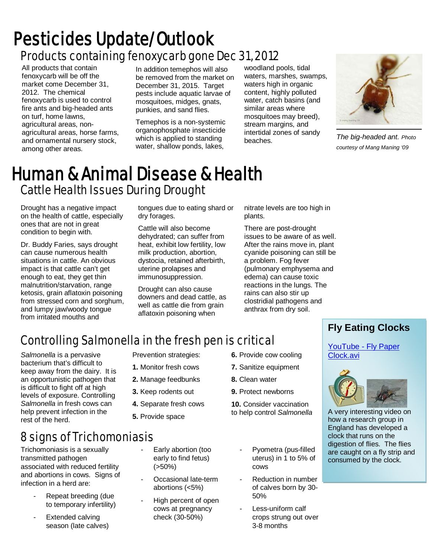## Products containing fenoxycarb gone Dec 31, 2012 Pesticides Update/Outlook

All products that contain fenoxycarb will be off the market come December 31, 2012. The chemical fenoxycarb is used to control fire ants and big-headed ants on turf, home lawns, agricultural areas, nonagricultural areas, horse farms, and ornamental nursery stock, among other areas.

In addition temephos will also be removed from the market on December 31, 2015. Target pests include aquatic larvae of mosquitoes, midges, gnats, punkies, and sand flies.

Temephos is a non-systemic organophosphate insecticide which is applied to standing water, shallow ponds, lakes,

woodland pools, tidal waters, marshes, swamps, waters high in organic content, highly polluted water, catch basins (and similar areas where mosquitoes may breed), stream margins, and intertidal zones of sandy beaches.



*The big-headed ant. Photo courtesy of Mang Maning '09*

## Cattle Health Issues During Drought Human & Animal Disease & Health

Drought has a negative impact on the health of cattle, especially ones that are not in great condition to begin with.

Dr. Buddy Faries, says drought can cause numerous health situations in cattle. An obvious impact is that cattle can't get enough to eat, they get thin malnutrition/starvation, range ketosis, grain aflatoxin poisoning from stressed corn and sorghum, and lumpy jaw/woody tongue from irritated mouths and

tongues due to eating shard or dry forages.

Cattle will also become dehydrated; can suffer from heat, exhibit low fertility, low milk production, abortion, dystocia, retained afterbirth, uterine prolapses and immunosuppression.

Drought can also cause downers and dead cattle, as well as cattle die from grain aflatoxin poisoning when

nitrate levels are too high in plants.

There are post-drought issues to be aware of as well. After the rains move in, plant cyanide poisoning can still be a problem. Fog fever (pulmonary emphysema and edema) can cause toxic reactions in the lungs. The rains can also stir up clostridial pathogens and anthrax from dry soil.

## Controlling Salmonella in the fresh pen is critical

*Salmonella* is a pervasive bacterium that's difficult to keep away from the dairy. It is an opportunistic pathogen that is difficult to fight off at high levels of exposure. Controlling *Salmonella* in fresh cows can help prevent infection in the rest of the herd.

Prevention strategies: **1.** Monitor fresh cows

- **2.** Manage feedbunks
- **3.** Keep rodents out
- **4.** Separate fresh cows
- **5.** Provide space
- **6.** Provide cow cooling
- **7.** Sanitize equipment
- **8.** Clean water
- **9.** Protect newborns

**10.** Consider vaccination to help control *Salmonella*

8 signs of Trichomoniasis

Trichomoniasis is a sexually transmitted pathogen associated with reduced fertility and abortions in cows. Signs of infection in a herd are:

- Repeat breeding (due to temporary infertility)
- Extended calving season (late calves)
- Early abortion (too early to find fetus)  $(550\%)$
- Occasional late-term abortions (<5%)
- High percent of open cows at pregnancy check (30-50%)
- Pyometra (pus-filled uterus) in 1 to 5% of cows
- Reduction in number of calves born by 30- 50%
- Less-uniform calf crops strung out over 3-8 months

#### **Fly Eating Clocks**

[YouTube -](http://www.youtube.com/watch?v=MsJ6B3y_Afw) Fly Paper [Clock.avi](http://www.youtube.com/watch?v=MsJ6B3y_Afw)



A very interesting video on how a research group in England has developed a clock that runs on the digestion of flies. The flies are caught on a fly strip and consumed by the clock.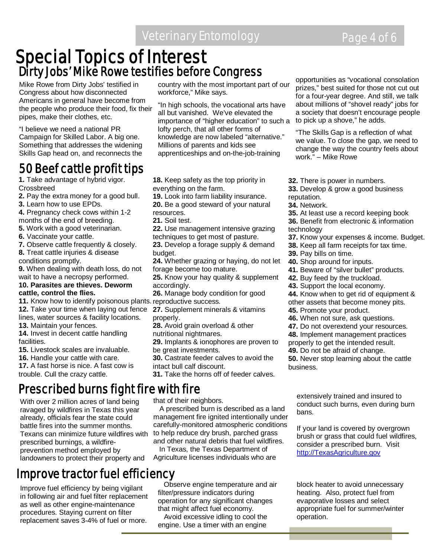# **Special Topics of Interest<br>Dirty Jobs' Mike Rowe testifies before Congress**

Mike Rowe from Dirty Jobs' testified in Congress about how disconnected Americans in general have become from the people who produce their food, fix their pipes, make their clothes, etc.

"I believe we need a national PR Campaign for Skilled Labor. A big one. Something that addresses the widening Skills Gap head on, and reconnects the

## 50 Beef cattle profit tips

**1.** Take advantage of hybrid vigor. Crossbreed

- **2.** Pay the extra money for a good bull.
- **3.** Learn how to use EPDs.
- **4.** Pregnancy check cows within 1-2 months of the end of breeding.
- **5.** Work with a good veterinarian.
- **6.** Vaccinate your cattle.
- **7.** Observe cattle frequently & closely.

**8.** Treat cattle injuries & disease conditions promptly.

**9.** When dealing with death loss, do not wait to have a necropsy performed.

#### **10. Parasites are thieves. Deworm cattle, control the flies.**

**11.** Know how to identify poisonous plants. reproductive success. **12.** Take your time when laying out fence

lines, water sources & facility locations. **13.** Maintain your fences.

**14.** Invest in decent cattle handling facilities.

**15.** Livestock scales are invaluable.

**16.** Handle your cattle with care.

**17.** A fast horse is nice. A fast cow is trouble. Cull the crazy cattle.

## Prescribed burns fight fire with fire

With over 2 million acres of land being ravaged by wildfires in Texas this year already, officials fear the state could battle fires into the summer months. Texans can minimize future wildfires with prescribed burnings, a wildfireprevention method employed by landowners to protect their property and

## Improve tractor fuel efficiency

Improve fuel efficiency by being vigilant in following air and fuel filter replacement as well as other engine-maintenance procedures. Staying current on filter replacement saves 3-4% of fuel or more.

country with the most important part of our workforce," Mike says.

"In high schools, the vocational arts have all but vanished. We've elevated the importance of "higher education" to such a lofty perch, that all other forms of knowledge are now labeled "alternative." Millions of parents and kids see apprenticeships and on-the-job-training

**18.** Keep safety as the top priority in everything on the farm.

**19.** Look into farm liability insurance. **20.** Be a good steward of your natural

resources.

- **21.** Soil test.
- **22.** Use management intensive grazing techniques to get most of pasture.

**23.** Develop a forage supply & demand budget.

**24.** Whether grazing or haying, do not let forage become too mature.

**25.** Know your hay quality & supplement accordingly.

**26.** Manage body condition for good

**27.** Supplement minerals & vitamins properly.

**28.** Avoid grain overload & other nutritional nightmares.

**29.** Implants & ionophores are proven to be great investments.

**30.** Castrate feeder calves to avoid the intact bull calf discount.

**31.** Take the horns off of feeder calves.

that of their neighbors. A prescribed burn is described as a land

management fire ignited intentionally under carefully-monitored atmospheric conditions to help reduce dry brush, parched grass and other natural debris that fuel wildfires.

 In Texas, the Texas Department of Agriculture licenses individuals who are

 Observe engine temperature and air filter/pressure indicators during operation for any significant changes that might affect fuel economy.

 Avoid excessive idling to cool the engine. Use a timer with an engine

opportunities as "vocational consolation prizes," best suited for those not cut out for a four-year degree. And still, we talk about millions of "shovel ready" jobs for a society that doesn't encourage people to pick up a shove," he adds.

"The Skills Gap is a reflection of what we value. To close the gap, we need to change the way the country feels about work." – Mike Rowe

- **32.** There is power in numbers.
- **33.** Develop & grow a good business reputation.
- **34.** Network.
- **35.** At least use a record keeping book
- **36.** Benefit from electronic & information
- technology
- **37.** Know your expenses & income. Budget.
- **38.** Keep all farm receipts for tax time.
- **39.** Pay bills on time.
- **40.** Shop around for inputs.
- **41.** Beware of "silver bullet" products.
- **42.** Buy feed by the truckload.
- **43.** Support the local economy.
- **44.** Know when to get rid of equipment &
- other assets that become money pits.
- **45.** Promote your product.
- **46.** When not sure, ask questions.
- **47.** Do not overextend your resources.

**48.** Implement management practices properly to get the intended result.

**49.** Do not be afraid of change.

**50.** Never stop learning about the cattle business.

extensively trained and insured to conduct such burns, even during burn bans.

If your land is covered by overgrown brush or grass that could fuel wildfires, consider a prescribed burn. Visit [http://TexasAgriculture.gov](http://texasagriculture.gov/)

block heater to avoid unnecessary heating. Also, protect fuel from evaporative losses and select appropriate fuel for summer/winter operation.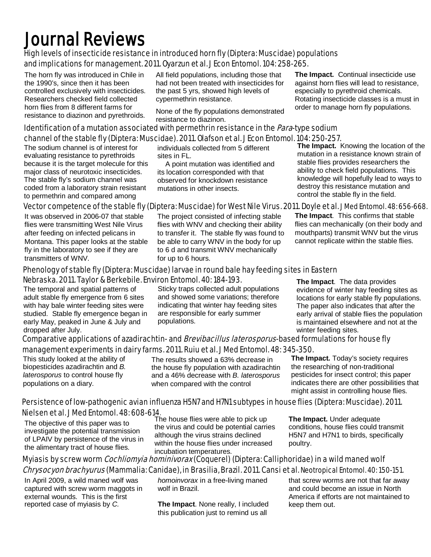## Journal Reviews

#### High levels of insecticide resistance in introduced horn fly (Diptera: Muscidae) populations and implications for management. 2011. Oyarzun et al. J Econ Entomol. 104: 258-265.

The horn fly was introduced in Chile in the 1990's, since then it has been controlled exclusively with insecticides. Researchers checked field collected horn flies from 8 different farms for resistance to diazinon and pyrethroids.

All field populations, including those that had not been treated with insecticides for the past 5 yrs, showed high levels of cypermethrin resistance.

None of the fly populations demonstrated resistance to diazinon.

**The Impact.** Continual insecticide use against horn flies will lead to resistance, especially to pyrethroid chemicals. Rotating insecticide classes is a must in order to manage horn fly populations.

#### Identification of a mutation associated with permethrin resistance in the *Para*-type sodium channel of the stable fly (Diptera: Muscidae). 2011. Olafson et al. J Econ Entomol. 104: 250-257.

The sodium channel is of interest for evaluating resistance to pyrethroids because it is the target molecule for this major class of neurotoxic insecticides. The stable fly's sodium channel was coded from a laboratory strain resistant to permethrin and compared among

individuals collected from 5 different sites in FL.

 A point mutation was identified and its location corresponded with that observed for knockdown resistance mutations in other insects.

**The Impact.** Knowing the location of the mutation in a resistance known strain of stable flies provides researchers the ability to check field populations. This knowledge will hopefully lead to ways to destroy this resistance mutation and control the stable fly in the field.

#### Vector competence of the stable fly (Diptera: Muscidae) for West Nile Virus. 2011. Doyle et al. J Med Entomol. 48: 656-668.

It was observed in 2006-07 that stable flies were transmitting West Nile Virus after feeding on infected pelicans in Montana. This paper looks at the stable fly in the laboratory to see if they are transmitters of WNV.

The project consisted of infecting stable flies with WNV and checking their ability to transfer it. The stable fly was found to be able to carry WNV in the body for up to 6 d and transmit WNV mechanically for up to 6 hours.

**The Impact**. This confirms that stable flies can mechanically (on their body and mouthparts) transmit WNV but the virus cannot replicate within the stable flies.

#### Phenology of stable fly (Diptera: Muscidae) larvae in round bale hay feeding sites in Eastern Nebraska. 2011. Taylor & Berkebile. Environ Entomol. 40: 184-193.

The temporal and spatial patterns of adult stable fly emergence from 6 sites with hay bale winter feeding sites were studied. Stable fly emergence began in early May, peaked in June & July and dropped after July.

Sticky traps collected adult populations and showed some variations; therefore indicating that winter hay feeding sites are responsible for early summer populations.

**The Impact**. The data provides evidence of winter hay feeding sites as locations for early stable fly populations. The paper also indicates that after the early arrival of stable flies the population is maintained elsewhere and not at the winter feeding sites.

#### Comparative applications of azadirachtin- and *Brevibacillus laterosporus*-based formulations for house fly management experiments in dairy farms. 2011. Ruiu et al. J Med Entomol. 48: 345-350.

This study looked at the ability of biopesticides azadirachtin and *B. laterosporus* to control house fly populations on a diary.

The results showed a 63% decrease in the house fly population with azadirachtin and a 46% decrease with *B. laterosporus* when compared with the control

**The Impact.** Today's society requires the researching of non-traditional pesticides for insect control; this paper indicates there are other possibilities that might assist in controlling house flies.

#### Persistence of low-pathogenic avian influenza H5N7 and H7N1 subtypes in house flies (Diptera: Muscidae). 2011. Nielsen et al. J Med Entomol. 48: 608-614.

The objective of this paper was to investigate the potential transmission of LPAIV by persistence of the virus in the alimentary tract of house flies.

The house flies were able to pick up the virus and could be potential carries although the virus strains declined within the house flies under increased incubation temperatures.

**The Impact.** Under adequate conditions, house flies could transmit H5N7 and H7N1 to birds, specifically poultry.

#### Myiasis by screw worm Cochliomyia hominivorax (Coquerel) (Diptera: Calliphoridae) in a wild maned wolf Chrysocyon brachyurus (Mammalia: Canidae), in Brasilia, Brazil. 2011. Cansi et al. Neotropical Entomol. 40: 150-151.

In April 2009, a wild maned wolf was captured with screw worm maggots in external wounds. This is the first reported case of myiasis by *C.* 

*homoinvorax* in a free-living maned wolf in Brazil.

**The Impact**. None really, I included this publication just to remind us all

that screw worms are not that far away and could become an issue in North America if efforts are not maintained to keep them out.